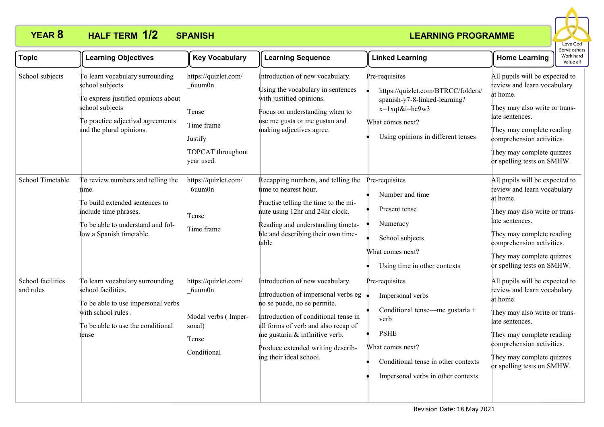

| <b>Topic</b>                   | <b>Learning Objectives</b>                                                                                                                                                    | <b>Key Vocabulary</b>                                                                               | <b>Learning Sequence</b>                                                                                                                                                                                                                                                               | <b>Linked Learning</b>                                                                                                                                                                        | <b>Home Learning</b>                                                                                                                                                                                                                               | serve othe<br>Work hard<br>Value all |
|--------------------------------|-------------------------------------------------------------------------------------------------------------------------------------------------------------------------------|-----------------------------------------------------------------------------------------------------|----------------------------------------------------------------------------------------------------------------------------------------------------------------------------------------------------------------------------------------------------------------------------------------|-----------------------------------------------------------------------------------------------------------------------------------------------------------------------------------------------|----------------------------------------------------------------------------------------------------------------------------------------------------------------------------------------------------------------------------------------------------|--------------------------------------|
| School subjects                | To learn vocabulary surrounding<br>school subjects<br>To express justified opinions about<br>school subjects<br>To practice adjectival agreements<br>and the plural opinions. | https://quizlet.com/<br>6uum0n<br>Tense<br>Time frame<br>Justify<br>TOPCAT throughout<br>year used. | Introduction of new vocabulary.<br>Using the vocabulary in sentences<br>with justified opinions.<br>Focus on understanding when to<br>use me gusta or me gustan and<br>making adjectives agree.                                                                                        | Pre-requisites<br>https://quizlet.com/BTRCC/folders/<br>spanish-y7-8-linked-learning?<br>x=1xqt&i=hc9w3<br>What comes next?<br>Using opinions in different tenses                             | All pupils will be expected to<br>review and learn vocabulary<br>at home.<br>They may also write or trans-<br>late sentences.<br>They may complete reading<br>comprehension activities.<br>They may complete quizzes<br>or spelling tests on SMHW. |                                      |
| School Timetable               | To review numbers and telling the<br>time.<br>To build extended sentences to<br>include time phrases.<br>To be able to understand and fol-<br>low a Spanish timetable.        | https://quizlet.com/<br>6uum0n<br>Tense<br>Time frame                                               | Recapping numbers, and telling the<br>time to nearest hour.<br>Practise telling the time to the mi-<br>nute using 12hr and 24hr clock.<br>Reading and understanding timeta-<br>ble and describing their own time-<br>table                                                             | Pre-requisites<br>Number and time<br>Present tense<br>Numeracy<br>School subjects<br>What comes next?<br>Using time in other contexts                                                         | All pupils will be expected to<br>review and learn vocabulary<br>at home.<br>They may also write or trans-<br>late sentences.<br>They may complete reading<br>comprehension activities.<br>They may complete quizzes<br>or spelling tests on SMHW. |                                      |
| School facilities<br>and rules | To learn vocabulary surrounding<br>school facilities.<br>To be able to use impersonal verbs<br>with school rules.<br>To be able to use the conditional<br>tense               | https://quizlet.com/<br>6uum0n<br>Modal verbs (Imper-<br>sonal)<br>Tense<br>Conditional             | Introduction of new vocabulary.<br>Introduction of impersonal verbs eg<br>no se puede, no se permite.<br>Introduction of conditional tense in<br>all forms of verb and also recap of<br>me gustaría & infinitive verb.<br>Produce extended writing describ-<br>ing their ideal school. | Pre-requisites<br>Impersonal verbs<br>Conditional tense—me gustaría +<br>verb<br><b>PSHE</b><br>What comes next?<br>Conditional tense in other contexts<br>Impersonal verbs in other contexts | All pupils will be expected to<br>review and learn vocabulary<br>at home.<br>They may also write or trans-<br>late sentences.<br>They may complete reading<br>comprehension activities.<br>They may complete quizzes<br>or spelling tests on SMHW. |                                      |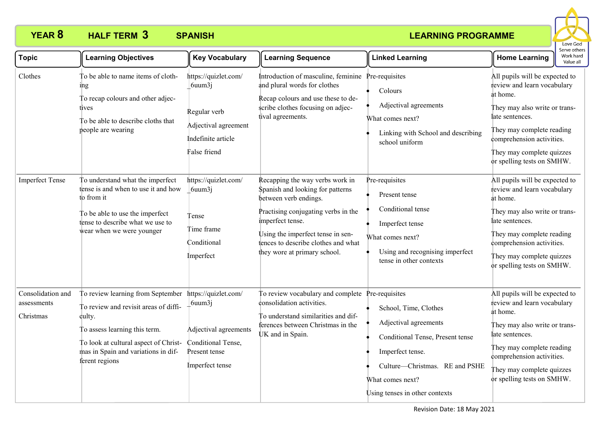

| <b>Topic</b>                                  | <b>Learning Objectives</b>                                                                                                                                                                                              | <b>Key Vocabulary</b>                                                                                              | <b>Learning Sequence</b>                                                                                                                                                                                                                                            | <b>Linked Learning</b>                                                                                                                                                                         | <b>Home Learning</b>                                                                                                                                                                                                                               | serve othe<br>Work hard<br>Value all |
|-----------------------------------------------|-------------------------------------------------------------------------------------------------------------------------------------------------------------------------------------------------------------------------|--------------------------------------------------------------------------------------------------------------------|---------------------------------------------------------------------------------------------------------------------------------------------------------------------------------------------------------------------------------------------------------------------|------------------------------------------------------------------------------------------------------------------------------------------------------------------------------------------------|----------------------------------------------------------------------------------------------------------------------------------------------------------------------------------------------------------------------------------------------------|--------------------------------------|
| Clothes                                       | To be able to name items of cloth-<br>ıng<br>To recap colours and other adjec-<br>tives<br>To be able to describe cloths that<br>people are wearing                                                                     | https://quizlet.com/<br>$6$ uum $3j$<br>Regular verb<br>Adjectival agreement<br>Indefinite article<br>False friend | Introduction of masculine, feminine Pre-requisites<br>and plural words for clothes<br>Recap colours and use these to de-<br>scribe clothes focusing on adjec-<br>tival agreements.                                                                                  | Colours<br>Adjectival agreements<br>What comes next?<br>Linking with School and describing<br>school uniform                                                                                   | All pupils will be expected to<br>review and learn vocabulary<br>at home.<br>They may also write or trans-<br>late sentences.<br>They may complete reading<br>comprehension activities.<br>They may complete quizzes<br>or spelling tests on SMHW. |                                      |
| <b>Imperfect Tense</b>                        | To understand what the imperfect<br>tense is and when to use it and how<br>to from it<br>To be able to use the imperfect<br>tense to describe what we use to<br>wear when we were younger                               | https://quizlet.com/<br>$6$ uum $3j$<br>Tense<br>Time frame<br>Conditional<br>Imperfect                            | Recapping the way verbs work in<br>Spanish and looking for patterns<br>between verb endings.<br>Practising conjugating verbs in the<br>imperfect tense.<br>Using the imperfect tense in sen-<br>tences to describe clothes and what<br>they wore at primary school. | Pre-requisites<br>Present tense<br>Conditional tense<br>Imperfect tense<br>What comes next?<br>Using and recognising imperfect<br>tense in other contexts                                      | All pupils will be expected to<br>review and learn vocabulary<br>at home.<br>They may also write or trans-<br>late sentences.<br>They may complete reading<br>comprehension activities.<br>They may complete quizzes<br>or spelling tests on SMHW. |                                      |
| Consolidation and<br>assessments<br>Christmas | To review learning from September<br>To review and revisit areas of diffi-<br>culty.<br>To assess learning this term.<br>To look at cultural aspect of Christ-<br>mas in Spain and variations in dif-<br>ferent regions | https://quizlet.com/<br>6uum3j<br>Adjectival agreements<br>Conditional Tense,<br>Present tense<br>Imperfect tense  | To review vocabulary and complete Pre-requisites<br>consolidation activities.<br>To understand similarities and dif-<br>ferences between Christmas in the<br>UK and in Spain.                                                                                       | School, Time, Clothes<br>Adjectival agreements<br>Conditional Tense, Present tense<br>Imperfect tense.<br>Culture-Christmas. RE and PSHE<br>What comes next?<br>Using tenses in other contexts | All pupils will be expected to<br>review and learn vocabulary<br>at home.<br>They may also write or trans-<br>late sentences.<br>They may complete reading<br>comprehension activities.<br>They may complete quizzes<br>or spelling tests on SMHW. |                                      |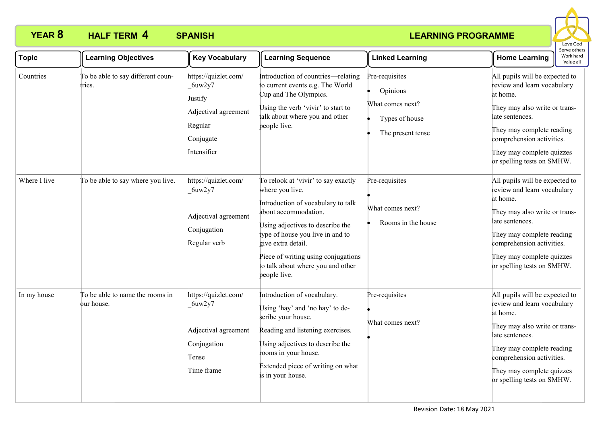

| <b>Topic</b> | <b>Learning Objectives</b>                    | <b>Key Vocabulary</b>                                                                                    | <b>Learning Sequence</b>                                                                                                                                                                                                                                                                                       | <b>Linked Learning</b>                                                                | <b>Home Learning</b>                                                                                                                                                                                                                               | Serve other<br>Work hard<br>Value all |
|--------------|-----------------------------------------------|----------------------------------------------------------------------------------------------------------|----------------------------------------------------------------------------------------------------------------------------------------------------------------------------------------------------------------------------------------------------------------------------------------------------------------|---------------------------------------------------------------------------------------|----------------------------------------------------------------------------------------------------------------------------------------------------------------------------------------------------------------------------------------------------|---------------------------------------|
| Countries    | To be able to say different coun-<br>tries.   | https://quizlet.com/<br>6uw2y7<br>Justify<br>Adjectival agreement<br>Regular<br>Conjugate<br>Intensifier | Introduction of countries—relating<br>to current events e.g. The World<br>Cup and The Olympics.<br>Using the verb 'vivir' to start to<br>talk about where you and other<br>people live.                                                                                                                        | Pre-requisites<br>Opinions<br>What comes next?<br>Types of house<br>The present tense | All pupils will be expected to<br>review and learn vocabulary<br>at home.<br>They may also write or trans-<br>late sentences.<br>They may complete reading<br>comprehension activities.<br>They may complete quizzes<br>or spelling tests on SMHW. |                                       |
| Where I live | To be able to say where you live.             | https://quizlet.com/<br>6uw2y7<br>Adjectival agreement<br>Conjugation<br>Regular verb                    | To relook at 'vivir' to say exactly<br>where you live.<br>Introduction of vocabulary to talk<br>about accommodation.<br>Using adjectives to describe the<br>type of house you live in and to<br>give extra detail.<br>Piece of writing using conjugations<br>to talk about where you and other<br>people live. | Pre-requisites<br>What comes next?<br>Rooms in the house                              | All pupils will be expected to<br>review and learn vocabulary<br>at home.<br>They may also write or trans-<br>late sentences.<br>They may complete reading<br>comprehension activities.<br>They may complete quizzes<br>or spelling tests on SMHW. |                                       |
| In my house  | To be able to name the rooms in<br>our house. | https://quizlet.com/<br>6uw2y7<br>Adjectival agreement<br>Conjugation<br>Tense<br>Time frame             | Introduction of vocabulary.<br>Using 'hay' and 'no hay' to de-<br>scribe your house.<br>Reading and listening exercises.<br>Using adjectives to describe the<br>rooms in your house.<br>Extended piece of writing on what<br>is in your house.                                                                 | Pre-requisites<br>What comes next?                                                    | All pupils will be expected to<br>review and learn vocabulary<br>at home.<br>They may also write or trans-<br>late sentences.<br>They may complete reading<br>comprehension activities.<br>They may complete quizzes<br>or spelling tests on SMHW. |                                       |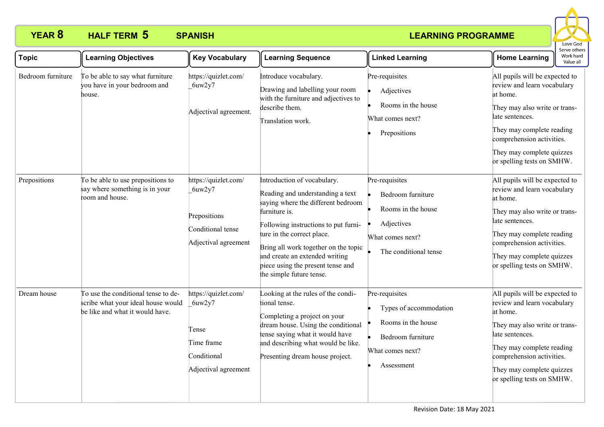

| <b>Topic</b>      | <b>Learning Objectives</b>                                                                                   | <b>Key Vocabulary</b>                                                                        | <b>Learning Sequence</b>                                                                                                                                                                                                                                                                                                                | <b>Linked Learning</b>                                                                                                | <b>Home Learning</b>                                                                                                                                                                                                                               | Serve other<br>Work hard<br>Value all |
|-------------------|--------------------------------------------------------------------------------------------------------------|----------------------------------------------------------------------------------------------|-----------------------------------------------------------------------------------------------------------------------------------------------------------------------------------------------------------------------------------------------------------------------------------------------------------------------------------------|-----------------------------------------------------------------------------------------------------------------------|----------------------------------------------------------------------------------------------------------------------------------------------------------------------------------------------------------------------------------------------------|---------------------------------------|
| Bedroom furniture | To be able to say what furniture<br>you have in your bedroom and<br>house.                                   | https://quizlet.com/<br>6uw2y7<br>Adjectival agreement.                                      | Introduce vocabulary.<br>Drawing and labelling your room<br>with the furniture and adjectives to<br>describe them.<br>Translation work.                                                                                                                                                                                                 | Pre-requisites<br>Adjectives<br>Rooms in the house<br>What comes next?<br>Prepositions                                | All pupils will be expected to<br>review and learn vocabulary<br>at home.<br>They may also write or trans-<br>late sentences.<br>They may complete reading<br>comprehension activities.<br>They may complete quizzes<br>or spelling tests on SMHW. |                                       |
| Prepositions      | To be able to use prepositions to<br>say where something is in your<br>room and house.                       | https://quizlet.com/<br>6uw2y7<br>Prepositions<br>Conditional tense<br>Adjectival agreement  | Introduction of vocabulary.<br>Reading and understanding a text<br>saying where the different bedroom<br>furniture is.<br>Following instructions to put furni-<br>ture in the correct place.<br>Bring all work together on the topic<br>and create an extended writing<br>piece using the present tense and<br>the simple future tense. | Pre-requisites<br>Bedroom furniture<br>Rooms in the house<br>Adjectives<br>What comes next?<br>The conditional tense  | All pupils will be expected to<br>review and learn vocabulary<br>at home.<br>They may also write or trans-<br>late sentences.<br>They may complete reading<br>comprehension activities.<br>They may complete quizzes<br>or spelling tests on SMHW. |                                       |
| Dream house       | To use the conditional tense to de-<br>scribe what your ideal house would<br>be like and what it would have. | https://quizlet.com/<br>6uw2y7<br>Tense<br>Time frame<br>Conditional<br>Adjectival agreement | Looking at the rules of the condi-<br>tional tense.<br>Completing a project on your<br>dream house. Using the conditional<br>tense saying what it would have<br>and describing what would be like.<br>Presenting dream house project.                                                                                                   | Pre-requisites<br>Types of accommodation<br>Rooms in the house<br>Bedroom furniture<br>What comes next?<br>Assessment | All pupils will be expected to<br>review and learn vocabulary<br>at home.<br>They may also write or trans-<br>late sentences.<br>They may complete reading<br>comprehension activities.<br>They may complete quizzes<br>or spelling tests on SMHW. |                                       |